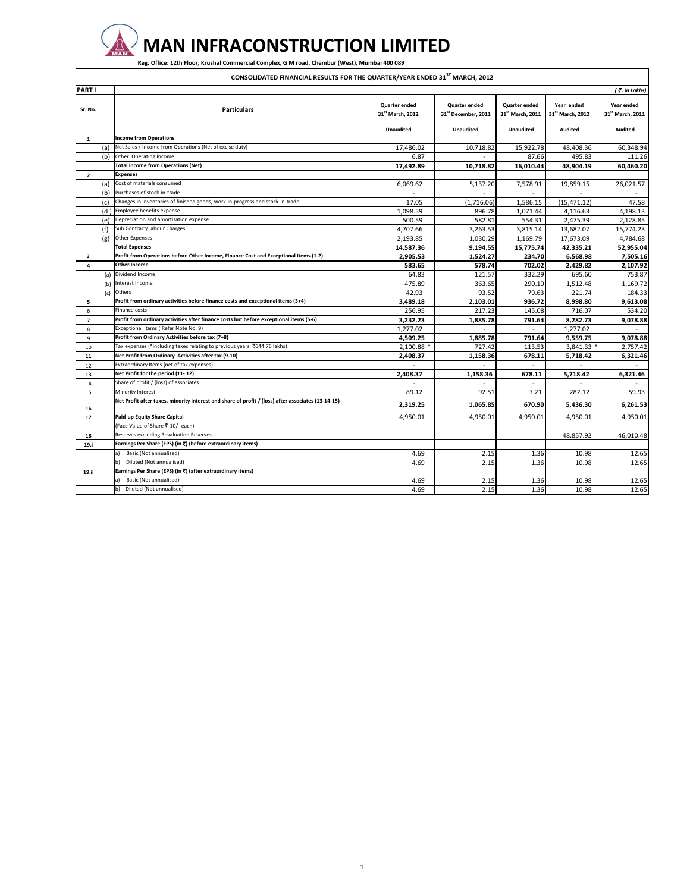

 $\Gamma$ 

 **MAN INFRACONSTRUCTION LIMITED**

Reg. Office: 12th Floor, Krushal Commercial Complex, G M road, Chembur (West), Mumbai 400 089

**CONSOLIDATED FINANCIAL RESULTS FOR THE QUARTER/YEAR ENDED 31ST MARCH, 2012**

| PART I         |     |                                                                                                    |                                                      |                                             |                                                      |                                            |                                            |
|----------------|-----|----------------------------------------------------------------------------------------------------|------------------------------------------------------|---------------------------------------------|------------------------------------------------------|--------------------------------------------|--------------------------------------------|
|                |     |                                                                                                    |                                                      |                                             |                                                      |                                            | $($ $\overline{\mathcal{F}}$ . in Lakhs)   |
| Sr. No.        |     | <b>Particulars</b>                                                                                 | <b>Quarter ended</b><br>31 <sup>st</sup> March, 2012 | <b>Quarter ended</b><br>31st December, 2011 | <b>Quarter ended</b><br>31 <sup>st</sup> March, 2011 | Year ended<br>31 <sup>st</sup> March, 2012 | Year ended<br>31 <sup>st</sup> March, 2011 |
|                |     |                                                                                                    | <b>Unaudited</b>                                     | <b>Unaudited</b>                            | Unaudited                                            | Audited                                    | Audited                                    |
| $\mathbf{1}$   |     | <b>Income from Operations</b>                                                                      |                                                      |                                             |                                                      |                                            |                                            |
|                | (a) | Net Sales / Income from Operations (Net of excise duty)                                            | 17,486.02                                            | 10,718.82                                   | 15,922.78                                            | 48,408.36                                  | 60,348.94                                  |
|                | (b) | Other Operating Income                                                                             | 6.87                                                 |                                             | 87.66                                                | 495.83                                     | 111.26                                     |
|                |     | <b>Total Income from Operations (Net)</b>                                                          | 17,492.89                                            | 10.718.82                                   | 16.010.44                                            | 48.904.19                                  | 60.460.20                                  |
| $\overline{2}$ |     | <b>Expenses</b>                                                                                    |                                                      |                                             |                                                      |                                            |                                            |
|                | (a) | Cost of materials consumed                                                                         | 6,069.62                                             | 5,137.20                                    | 7,578.91                                             | 19,859.15                                  | 26,021.57                                  |
|                | b)  | Purchases of stock-in-trade                                                                        |                                                      | $\sim$                                      | $\sim$                                               |                                            |                                            |
|                | (c) | Changes in inventories of finished goods, work-in-progress and stock-in-trade                      | 17.05                                                | (1,716.06)                                  | 1,586.15                                             | (15, 471.12)                               | 47.58                                      |
|                |     | (d) Employee benefits expense                                                                      | 1,098.59                                             | 896.78                                      | 1,071.44                                             | 4,116.63                                   | 4,198.13                                   |
|                | e)  | Depreciation and amortisation expense                                                              | 500.59                                               | 582.81                                      | 554.31                                               | 2,475.39                                   | 2,128.85                                   |
|                | 'f) | Sub Contract/Labour Charges                                                                        | 4,707.66                                             | 3,263.53                                    | 3,815.14                                             | 13,682.07                                  | 15,774.23                                  |
|                | (g) | <b>Other Expenses</b>                                                                              | 2.193.85                                             | 1.030.29                                    | 1,169.79                                             | 17,673.09                                  | 4.784.68                                   |
|                |     | <b>Total Expenses</b>                                                                              | 14,587.36                                            | 9,194.55                                    | 15,775.74                                            | 42,335.21                                  | 52,955.04                                  |
| 3              |     | Profit from Operations before Other Income, Finance Cost and Exceptional Items (1-2)               | 2,905.53                                             | 1,524.27                                    | 234.70                                               | 6,568.98                                   | 7,505.16                                   |
| 4              |     | <b>Other Income</b>                                                                                | 583.65                                               | 578.74                                      | 702.02                                               | 2.429.82                                   | 2.107.92                                   |
|                | (a) | Dividend Income                                                                                    | 64.83                                                | 121.57                                      | 332.29                                               | 695.60                                     | 753.87                                     |
|                |     | (b) Interest Income                                                                                | 475.89                                               | 363.65                                      | 290.10                                               | 1,512.48                                   | 1.169.72                                   |
|                |     | (c) Others                                                                                         | 42.93                                                | 93.52                                       | 79.63                                                | 221.74                                     | 184.33                                     |
| 5              |     | Profit from ordinary activities before finance costs and exceptional items (3+4)                   | 3,489.18                                             | 2,103.01                                    | 936.72                                               | 8,998.80                                   | 9,613.08                                   |
| 6              |     | Finance costs                                                                                      | 256.95                                               | 217.23                                      | 145.08                                               | 716.07                                     | 534.20                                     |
| $\overline{z}$ |     | Profit from ordinary activities after finance costs but before exceptional items (5-6)             | 3,232.23                                             | 1,885.78                                    | 791.64                                               | 8,282.73                                   | 9,078.88                                   |
| 8              |     | Exceptional Items (Refer Note No. 9)                                                               | 1,277.02                                             |                                             | $\sim$                                               | 1,277.02                                   |                                            |
| 9              |     | Profit from Ordinary Activities before tax (7+8)                                                   | 4,509.25                                             | 1,885.78                                    | 791.64                                               | 9,559.75                                   | 9,078.88                                   |
| 10             |     | Tax expenses (*including taxes relating to previous years ₹644.76 lakhs)                           | 2,100.88 *                                           | 727.42                                      | 113.53                                               | 3,841.33 *                                 | 2,757.42                                   |
| 11             |     | Net Profit from Ordinary Activities after tax (9-10)                                               | 2,408.37                                             | 1,158.36                                    | 678.11                                               | 5,718.42                                   | 6,321.46                                   |
| 12             |     | Extraordinary Items (net of tax expenses)                                                          | $\mathbf{r}$                                         | ÷                                           | $\sim$                                               | $\sim$                                     |                                            |
| 13             |     | Net Profit for the period (11-12)                                                                  | 2,408.37                                             | 1,158.36                                    | 678.11                                               | 5,718.42                                   | 6,321.46                                   |
| 14             |     | Share of profit / (loss) of associates                                                             |                                                      |                                             |                                                      |                                            |                                            |
| 15             |     | Minority Interest                                                                                  | 89.12                                                | 92.51                                       | 7.21                                                 | 282.12                                     | 59.93                                      |
| 16             |     | Net Profit after taxes, minority interest and share of profit / (loss) after associates (13-14-15) | 2,319.25                                             | 1,065.85                                    | 670.90                                               | 5,436.30                                   | 6,261.53                                   |
| 17             |     | Paid-up Equity Share Capital                                                                       | 4,950.01                                             | 4,950.01                                    | 4,950.01                                             | 4,950.01                                   | 4,950.01                                   |
|                |     | (Face Value of Share ₹ 10/- each)                                                                  |                                                      |                                             |                                                      |                                            |                                            |
| 18             |     | Reserves excluding Revaluation Reserves                                                            |                                                      |                                             |                                                      | 48,857.92                                  | 46,010.48                                  |
| 19.i           |     | Earnings Per Share (EPS) (in ₹) (before extraordinary items)                                       |                                                      |                                             |                                                      |                                            |                                            |
|                |     | Basic (Not annualised)<br>a)                                                                       | 4.69                                                 | 2.15                                        | 1.36                                                 | 10.98                                      | 12.65                                      |
|                |     | b)<br>Diluted (Not annualised)                                                                     | 4.69                                                 | 2.15                                        | 1.36                                                 | 10.98                                      | 12.65                                      |
| 19.ii          |     | Earnings Per Share (EPS) (in ₹) (after extraordinary items)                                        |                                                      |                                             |                                                      |                                            |                                            |
|                |     | Basic (Not annualised)<br>a)                                                                       | 4.69                                                 | 2.15                                        | 1.36                                                 | 10.98                                      | 12.65                                      |
|                |     | Diluted (Not annualised)<br>b)                                                                     | 4.69                                                 | 2.15                                        | 1.36                                                 | 10.98                                      | 12.65                                      |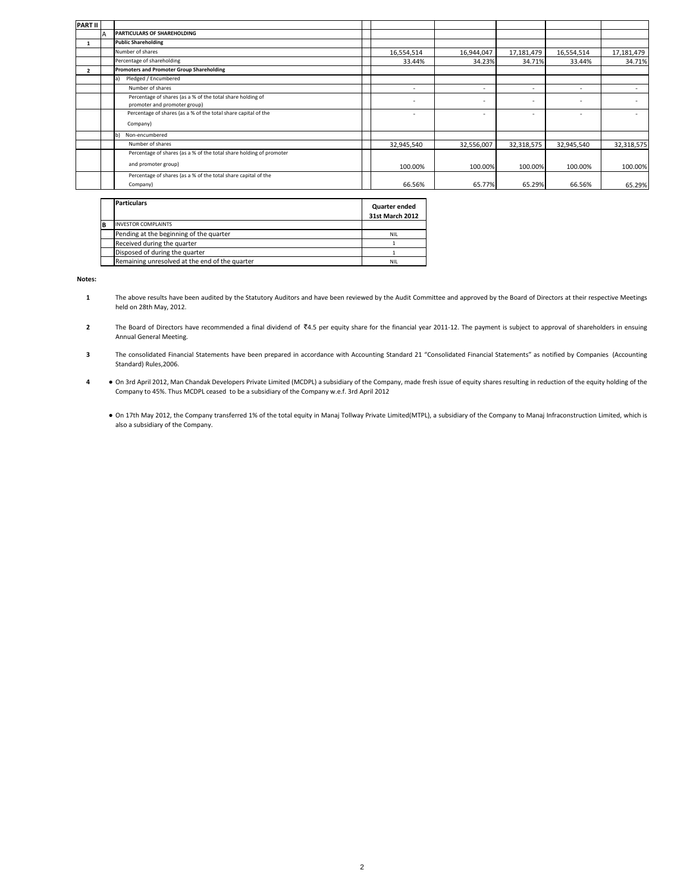| <b>PART II</b>           |                                                                                            |                          |                          |                          |                          |            |
|--------------------------|--------------------------------------------------------------------------------------------|--------------------------|--------------------------|--------------------------|--------------------------|------------|
|                          | <b>PARTICULARS OF SHAREHOLDING</b>                                                         |                          |                          |                          |                          |            |
|                          | <b>Public Shareholding</b>                                                                 |                          |                          |                          |                          |            |
|                          | Number of shares                                                                           | 16,554,514               | 16,944,047               | 17,181,479               | 16,554,514               | 17,181,479 |
|                          | Percentage of shareholding                                                                 | 33.44%                   | 34.23%                   | 34.71%                   | 33.44%                   | 34.71%     |
| $\overline{\phantom{a}}$ | <b>Promoters and Promoter Group Shareholding</b>                                           |                          |                          |                          |                          |            |
|                          | Pledged / Encumbered<br>la)                                                                |                          |                          |                          |                          |            |
|                          | Number of shares                                                                           | $\overline{\phantom{a}}$ | $\overline{\phantom{a}}$ | $\overline{\phantom{a}}$ | $\overline{\phantom{a}}$ |            |
|                          | Percentage of shares (as a % of the total share holding of<br>promoter and promoter group) | $\overline{\phantom{a}}$ | ٠                        | $\overline{\phantom{a}}$ | ٠                        |            |
|                          | Percentage of shares (as a % of the total share capital of the<br>Company)                 | $\overline{\phantom{a}}$ | ۰                        | $\overline{\phantom{a}}$ | $\sim$                   |            |
|                          | Non-encumbered<br>$\mathbf{b}$                                                             |                          |                          |                          |                          |            |
|                          | Number of shares                                                                           | 32,945,540               | 32,556,007               | 32,318,575               | 32,945,540               | 32,318,575 |
|                          | Percentage of shares (as a % of the total share holding of promoter<br>and promoter group) | 100.00%                  | 100.00%                  | 100.00%                  | 100.00%                  | 100.00%    |
|                          | Percentage of shares (as a % of the total share capital of the<br>Company)                 | 66.56%                   | 65.77%                   | 65.29%                   | 66.56%                   | 65.29%     |

|          | <b>Particulars</b>                             | Quarter ended<br>31st March 2012 |
|----------|------------------------------------------------|----------------------------------|
| <b>B</b> | <b>INVESTOR COMPLAINTS</b>                     |                                  |
|          | Pending at the beginning of the quarter        | <b>NIL</b>                       |
|          | Received during the quarter                    |                                  |
|          | Disposed of during the quarter                 |                                  |
|          | Remaining unresolved at the end of the quarter | <b>NIL</b>                       |

**Notes:**

- **1** The above results have been audited by the Statutory Auditors and have been reviewed by the Audit Committee and approved by the Board of Directors at their respective Meetings held on 28th May, 2012.
- **2** The Board of Directors have recommended a final dividend of  $I_4$ .5 per equity share for the financial year 2011-12. The payment is subject to approval of shareholders in ensuing Annual General Meeting.
- **3** The consolidated Financial Statements have been prepared in accordance with Accounting Standard 21 "Consolidated Financial Statements" as notified by Companies (Accounting Standard) Rules,2006.
- **4 ●** On 3rd April 2012, Man Chandak Developers Private Limited (MCDPL) a subsidiary of the Company, made fresh issue of equity shares resulting in reduction of the equity holding of the Company to 45%. Thus MCDPL ceased to be a subsidiary of the Company w.e.f. 3rd April 2012
	- On 17th May 2012, the Company transferred 1% of the total equity in Manaj Tollway Private Limited(MTPL), a subsidiary of the Company to Manaj Infraconstruction Limited, which is also a subsidiary of the Company.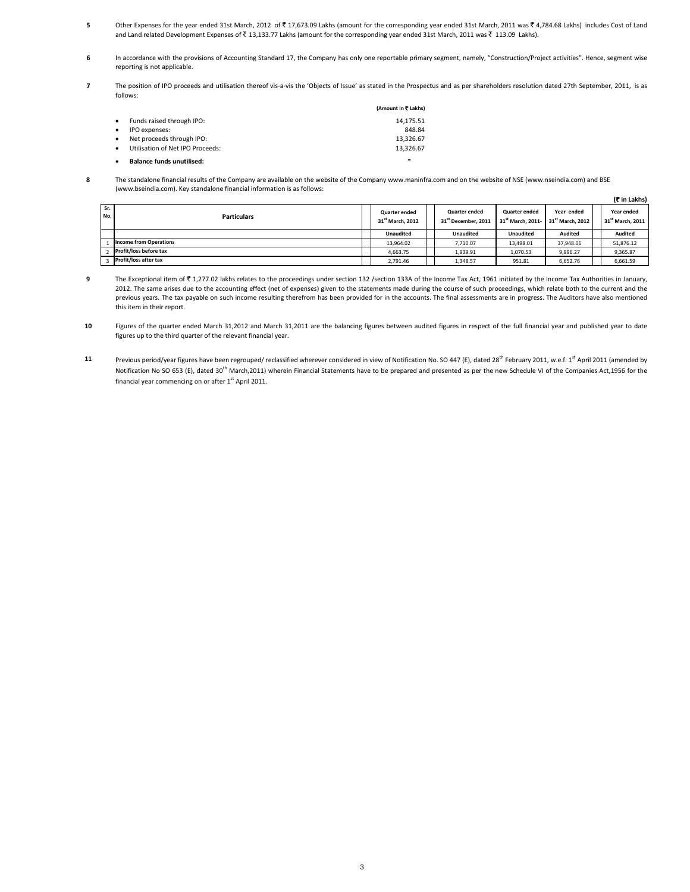- **5** Other Expenses for the year ended 31st March, 2012 of ₹17,673.09 Lakhs (amount for the corresponding year ended 31st March, 2011 was ₹4,784.68 Lakhs) includes Cost of Land and Land related Development Expenses of ₹13,133.77 Lakhs (amount for the corresponding year ended 31st March, 2011 was ₹113.09 Lakhs).
- **6** In accordance with the provisions of Accounting Standard 17, the Company has only one reportable primary segment, namely, "Construction/Project activities". Hence, segment wise reporting is not applicable.
- **7** The position of IPO proceeds and utilisation thereof vis-a-vis the 'Objects of Issue' as stated in the Prospectus and as per shareholders resolution dated 27th September, 2011, is as follows:

|           |                                  | (Amount in ₹ Lakhs) |
|-----------|----------------------------------|---------------------|
| $\bullet$ | Funds raised through IPO:        | 14.175.51           |
|           | IPO expenses:                    | 848.84              |
| $\bullet$ | Net proceeds through IPO:        | 13.326.67           |
|           | Utilisation of Net IPO Proceeds: | 13.326.67           |
|           | <b>Balance funds unutilised:</b> | -                   |

**8** The standalone financial results of the Company are available on the website of the Company www.maninfra.com and on the website of NSE (www.nseindia.com) and BSE (www.bseindia.com). Key standalone financial information is as follows:

|            | IN III LAKIISI                |  |                                                      |  |                                                  |                                                       |                                            |                                            |  |
|------------|-------------------------------|--|------------------------------------------------------|--|--------------------------------------------------|-------------------------------------------------------|--------------------------------------------|--------------------------------------------|--|
| Sr.<br>No. | <b>Particulars</b>            |  | <b>Quarter ended</b><br>31 <sup>st</sup> March, 2012 |  | Quarter ended<br>31 <sup>st</sup> December, 2011 | <b>Quarter ended</b><br>31 <sup>st</sup> March. 2011- | Year ended<br>31 <sup>st</sup> March, 2012 | Year ended<br>31 <sup>st</sup> March, 2011 |  |
|            |                               |  | <b>Unaudited</b>                                     |  | <b>Unaudited</b>                                 | <b>Unaudited</b>                                      | Audited                                    | Audited                                    |  |
|            | <b>Income from Operations</b> |  | 13.964.02                                            |  | 7.710.07                                         | 13.498.01                                             | 37.948.06                                  | 51,876.12                                  |  |
|            | Profit/loss before tax        |  | 4,663.75                                             |  | 1,939.91                                         | 1,070.53                                              | 9.996.27                                   | 9,365.87                                   |  |
|            | Profit/loss after tax         |  | 2,791.46                                             |  | 1,348.57                                         | 951.81                                                | 6,652.76                                   | 6,661.59                                   |  |

**(**` **in Lakhs)**

- **9** The Exceptional item of ₹ 1,277.02 lakhs relates to the proceedings under section 132 /section 133A of the Income Tax Act, 1961 initiated by the Income Tax Authorities in January, 2012. The same arises due to the accounting effect (net of expenses) given to the statements made during the course of such proceedings, which relate both to the current and the previous years. The tax payable on such income resulting therefrom has been provided for in the accounts. The final assessments are in progress. The Auditors have also mentioned this item in their report.
- **10** Figures of the quarter ended March 31,2012 and March 31,2011 are the balancing figures between audited figures in respect of the full financial year and published year to date figures up to the third quarter of the relevant financial year.
- **11** Previous period/year figures have been regrouped/ reclassified wherever considered in view of Notification No. SO 447 (E), dated 28<sup>th</sup> February 2011, w.e.f. 1<sup>st</sup> April 2011 (amended by Notification No SO 653 (E), dated 30<sup>th</sup> March,2011) wherein Financial Statements have to be prepared and presented as per the new Schedule VI of the Companies Act,1956 for the financial year commencing on or after 1<sup>st</sup> April 2011.